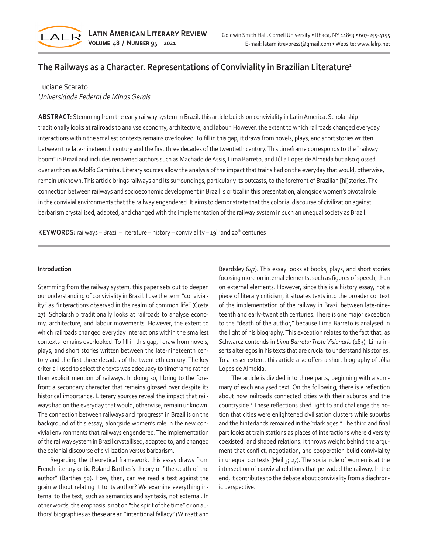

# **The Railways as a Character. Representations of Conviviality in Brazilian Literature**<sup>1</sup>

# Luciane Scarato *Universidade Federal de Minas Gerais*

**ABSTRACT:** Stemming from the early railway system in Brazil, this article builds on conviviality in Latin America. Scholarship traditionally looks at railroads to analyse economy, architecture, and labour. However, the extent to which railroads changed everyday interactions within the smallest contexts remains overlooked. To fill in this gap, it draws from novels, plays, and short stories written between the late-nineteenth century and the first three decades of the twentieth century. This timeframe corresponds to the "railway boom" in Brazil and includes renowned authors such as Machado de Assis, Lima Barreto, and Júlia Lopes de Almeida but also glossed over authors as Adolfo Caminha. Literary sources allow the analysis of the impact that trains had on the everyday that would, otherwise, remain unknown. This article brings railways and its surroundings, particularly its outcasts, to the forefront of Brazilian [hi]stories. The connection between railways and socioeconomic development in Brazil is critical in this presentation, alongside women's pivotal role in the convivial environments that the railway engendered. It aims to demonstrate that the colonial discourse of civilization against barbarism crystallised, adapted, and changed with the implementation of the railway system in such an unequal society as Brazil.

**KEYWORDS:** railways – Brazil – literature – history – conviviality – 19<sup>th</sup> and 20<sup>th</sup> centuries

#### **Introduction**

Stemming from the railway system, this paper sets out to deepen our understanding of conviviality in Brazil. I use the term "conviviality" as "interactions observed in the realm of common life" (Costa 27). Scholarship traditionally looks at railroads to analyse economy, architecture, and labour movements. However, the extent to which railroads changed everyday interactions within the smallest contexts remains overlooked. To fill in this gap, I draw from novels, plays, and short stories written between the late-nineteenth century and the first three decades of the twentieth century. The key criteria I used to select the texts was adequacy to timeframe rather than explicit mention of railways. In doing so, I bring to the forefront a secondary character that remains glossed over despite its historical importance. Literary sources reveal the impact that railways had on the everyday that would, otherwise, remain unknown. The connection between railways and "progress" in Brazil is on the background of this essay, alongside women's role in the new convivial environments that railways engendered. The implementation of the railway system in Brazil crystallised, adapted to, and changed the colonial discourse of civilization versus barbarism.

Regarding the theoretical framework, this essay draws from French literary critic Roland Barthes's theory of "the death of the author" (Barthes 50). How, then, can we read a text against the grain without relating it to its author? We examine everything internal to the text, such as semantics and syntaxis, not external. In other words, the emphasis is not on "the spirit of the time" or on authors' biographies as these are an "intentional fallacy" (Winsatt and

Beardsley 647). This essay looks at books, plays, and short stories focusing more on internal elements, such as figures of speech, than on external elements. However, since this is a history essay, not a piece of literary criticism, it situates texts into the broader context of the implementation of the railway in Brazil between late-nineteenth and early-twentieth centuries. There is one major exception to the "death of the author," because Lima Barreto is analysed in the light of his biography. This exception relates to the fact that, as Schwarcz contends in *Lima Barreto: Triste Visionário* (183), Lima inserts alter egos in his texts that are crucial to understand his stories. To a lesser extent, this article also offers a short biography of Júlia Lopes de Almeida.

The article is divided into three parts, beginning with a summary of each analysed text. On the following, there is a reflection about how railroads connected cities with their suburbs and the countryside.<sup>2</sup> These reflections shed light to and challenge the notion that cities were enlightened civilisation clusters while suburbs and the hinterlands remained in the "dark ages." The third and final part looks at train stations as places of interactions where diversity coexisted, and shaped relations. It throws weight behind the argument that conflict, negotiation, and cooperation build conviviality in unequal contexts (Heil 3; 27). The social role of women is at the intersection of convivial relations that pervaded the railway. In the end, it contributes to the debate about conviviality from a diachronic perspective.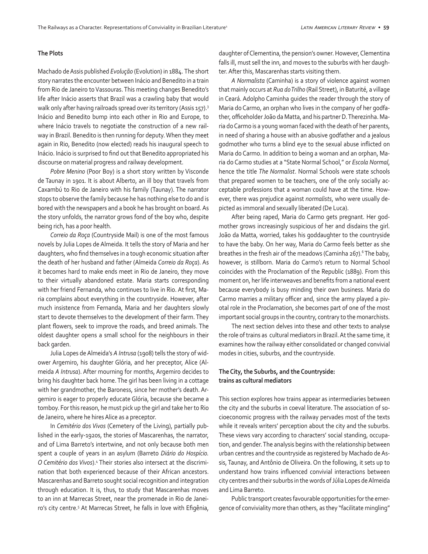### **The Plots**

Machado de Assis published *Evolução* (Evolution) in 1884. The short story narrates the encounter between Inácio and Benedito in a train from Rio de Janeiro to Vassouras. This meeting changes Benedito's life after Inácio asserts that Brazil was a crawling baby that would walk only after having railroads spread over its territory (Assis 157).<sup>3</sup> Inácio and Benedito bump into each other in Rio and Europe, to where Inácio travels to negotiate the construction of a new railway in Brazil. Benedito is then running for deputy. When they meet again in Rio, Benedito (now elected) reads his inaugural speech to Inácio. Inácio is surprised to find out that Benedito appropriated his discourse on material progress and railway development.

*Pobre Menino* (Poor Boy) is a short story written by Visconde de Taunay in 1901. It is about Alberto, an ill boy that travels from Caxambú to Rio de Janeiro with his family (Taunay). The narrator stops to observe the family because he has nothing else to do and is bored with the newspapers and a book he has brought on board. As the story unfolds, the narrator grows fond of the boy who, despite being rich, has a poor health.

*Correio da Roça* (Countryside Mail) is one of the most famous novels by Julia Lopes de Almeida. It tells the story of Maria and her daughters, who find themselves in a tough economic situation after the death of her husband and father (Almeida *Correio da Roça*). As it becomes hard to make ends meet in Rio de Janeiro, they move to their virtually abandoned estate. Maria starts corresponding with her friend Fernanda, who continues to live in Rio. At first, Maria complains about everything in the countryside. However, after much insistence from Fernanda, Maria and her daughters slowly start to devote themselves to the development of their farm. They plant flowers, seek to improve the roads, and breed animals. The oldest daughter opens a small school for the neighbours in their back garden.

Julia Lopes de Almeida's *A Intrusa* (1908) tells the story of widower Argemiro, his daughter Glória, and her preceptor, Alice (Almeida *A Intrusa*). After mourning for months, Argemiro decides to bring his daughter back home. The girl has been living in a cottage with her grandmother, the Baroness, since her mother's death. Argemiro is eager to properly educate Glória, because she became a tomboy. For this reason, he must pick up the girl and take her to Rio de Janeiro, where he hires Alice as a preceptor.

In *Cemitério dos Vivos* (Cemetery of the Living), partially published in the early-1920s, the stories of Mascarenhas, the narrator, and of Lima Barreto's intertwine, and not only because both men spent a couple of years in an asylum (Barreto *Diário do Hospício. O Cemitério dos Vivos*).4 Their stories also intersect at the discrimination that both experienced because of their African ancestors. Mascarenhas and Barreto sought social recognition and integration through education. It is, thus, to study that Mascarenhas moves to an inn at Marrecas Street, near the promenade in Rio de Janeiro's city centre.<sup>5</sup> At Marrecas Street, he falls in love with Efigênia, daughter of Clementina, the pension's owner. However, Clementina falls ill, must sell the inn, and moves to the suburbs with her daughter. After this, Mascarenhas starts visiting them.

*A Normalista* (Caminha) is a story of violence against women that mainly occurs at *Rua do Trilho* (Rail Street), in Baturité, a village in Ceará. Adolpho Caminha guides the reader through the story of Maria do Carmo, an orphan who lives in the company of her godfather, officeholder João da Matta, and his partner D. Therezinha. Maria do Carmo is a young woman faced with the death of her parents, in need of sharing a house with an abusive godfather and a jealous godmother who turns a blind eye to the sexual abuse inflicted on Maria do Carmo. In addition to being a woman and an orphan, Maria do Carmo studies at a "State Normal School," or *Escola Normal*, hence the title *The Normalist*. Normal Schools were state schools that prepared women to be teachers, one of the only socially acceptable professions that a woman could have at the time. However, there was prejudice against *normalists*, who were usually depicted as immoral and sexually liberated (De Luca).

After being raped, Maria do Carmo gets pregnant. Her godmother grows increasingly suspicious of her and disdains the girl. João da Matta, worried, takes his goddaughter to the countryside to have the baby. On her way, Maria do Carmo feels better as she breathes in the fresh air of the meadows (Caminha 267).<sup>6</sup> The baby, however, is stillborn. Maria do Carmo's return to Normal School coincides with the Proclamation of the Republic (1889). From this moment on, her life interweaves and benefits from a national event because everybody is busy minding their own business. Maria do Carmo marries a military officer and, since the army played a pivotal role in the Proclamation, she becomes part of one of the most important social groups in the country, contrary to the monarchists.

The next section delves into these and other texts to analyse the role of trains as cultural mediators in Brazil. At the same time, it examines how the railway either consolidated or changed convivial modes in cities, suburbs, and the countryside.

## **The City, the Suburbs, and the Countryside: trains as cultural mediators**

This section explores how trains appear as intermediaries between the city and the suburbs in coeval literature. The association of socioeconomic progress with the railway pervades most of the texts while it reveals writers' perception about the city and the suburbs. These views vary according to characters' social standing, occupation, and gender. The analysis begins with the relationship between urban centres and the countryside as registered by Machado de Assis, Taunay, and Antônio de Oliveira. On the following, it sets up to understand how trains influenced convivial interactions between city centres and their suburbs in the words of Júlia Lopes de Almeida and Lima Barreto.

Public transport creates favourable opportunities for the emergence of conviviality more than others, as they "facilitate mingling"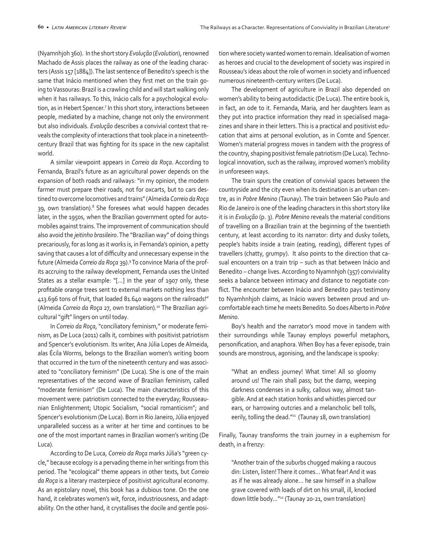(Nyamnhjoh 360). In the short story *Evolução* (*Evolution*), renowned Machado de Assis places the railway as one of the leading characters (Assis 157 [1884]). The last sentence of Benedito's speech is the same that Inácio mentioned when they first met on the train going to Vassouras: Brazil is a crawling child and will start walking only when it has railways. To this, Inácio calls for a psychological evolution, as in Hebert Spencer.<sup>7</sup> In this short story, interactions between people, mediated by a machine, change not only the environment but also individuals. *Evolução* describes a convivial context that reveals the complexity of interactions that took place in a nineteenthcentury Brazil that was fighting for its space in the new capitalist world.

A similar viewpoint appears in *Correio da Roça*. According to Fernanda, Brazil's future as an agricultural power depends on the expansion of both roads and railways: "in my opinion, the modern farmer must prepare their roads, not for oxcarts, but to cars destined to overcome locomotives and trains" (Almeida *Correio da Roça* 39, own translation).<sup>8</sup> She foresees what would happen decades later, in the 1950s, when the Brazilian government opted for automobiles against trains. The improvement of communication should also avoid the *jeitinho brasileiro*. The "Brazilian way" of doing things precariously, for as long as it works is, in Fernanda's opinion, a petty saving that causes a lot of difficulty and unnecessary expense in the future (Almeida *Correio da Roça* 39). 9 To convince Maria of the profits accruing to the railway development, Fernanda uses the United States as a stellar example: "[…] in the year of 1907 only, these profitable orange trees sent to external markets nothing less than 413.696 tons of fruit, that loaded 81.640 wagons on the railroads!" (Almeida *Correio da Roça* 27, own translation).10 The Brazilian agricultural "gift" lingers on until today.

In *Correio da Roça*, "conciliatory feminism," or moderate feminism, as De Luca (2011) calls it, combines with positivist patriotism and Spencer's evolutionism. Its writer, Ana Júlia Lopes de Almeida, alas Écila Worms, belongs to the Brazilian women's writing boom that occurred in the turn of the nineteenth century and was associated to "conciliatory feminism" (De Luca). She is one of the main representatives of the second wave of Brazilian feminism, called "moderate feminism" (De Luca). The main characteristics of this movement were: patriotism connected to the everyday; Rousseaunian Enlightenment; Utopic Socialism, "social romanticism"; and Spencer's evolutionism (De Luca). Born in Rio Janeiro, Júlia enjoyed unparalleled success as a writer at her time and continues to be one of the most important names in Brazilian women's writing (De Luca).

According to De Luca, *Correio da Roça* marks Júlia's "green cycle," because ecology is a pervading theme in her writings from this period. The "ecological" theme appears in other texts, but *Correio da Roça* is a literary masterpiece of positivist agricultural economy. As an epistolary novel, this book has a dubious tone. On the one hand, it celebrates women's wit, force, industriousness, and adaptability. On the other hand, it crystallises the docile and gentle position where society wanted women to remain. Idealisation of women as heroes and crucial to the development of society was inspired in Rousseau's ideas about the role of women in society and influenced numerous nineteenth-century writers (De Luca).

The development of agriculture in Brazil also depended on women's ability to being autodidactic (De Luca). The entire book is, in fact, an ode to it. Fernanda, Maria, and her daughters learn as they put into practice information they read in specialised magazines and share in their letters. This is a practical and positivist education that aims at personal evolution, as in Comte and Spencer. Women's material progress moves in tandem with the progress of the country, shaping positivist female patriotism (De Luca). Technological innovation, such as the railway, improved women's mobility in unforeseen ways.

The train spurs the creation of convivial spaces between the countryside and the city even when its destination is an urban centre, as in *Pobre Menino* (Taunay). The train between São Paulo and Rio de Janeiro is one of the leading characters in this short story like it is in *Evolução* (p. 3). *Pobre Menino* reveals the material conditions of travelling on a Brazilian train at the beginning of the twentieth century, at least according to its narrator: dirty and dusky toilets, people's habits inside a train (eating, reading), different types of travellers (chatty, grumpy). It also points to the direction that casual encounters on a train trip – such as that between Inácio and Benedito – change lives. According to Nyamnhjoh (357) conviviality seeks a balance between intimacy and distance to negotiate conflict. The encounter between Inácio and Benedito pays testimony to Nyamhnhjoh claims, as Inácio wavers between proud and uncomfortable each time he meets Benedito. So does Alberto in *Pobre Menino*.

Boy's health and the narrator's mood move in tandem with their surroundings while Taunay employs powerful metaphors, personification, and anaphora. When Boy has a fever episode, train sounds are monstrous, agonising, and the landscape is spooky:

"What an endless journey! What time! All so gloomy around us! The rain shall pass; but the damp, weeping darkness condenses in a sulky, callous way, almost tangible. And at each station honks and whistles pierced our ears, or harrowing outcries and a melancholic bell tolls, eerily, tolling the dead."11 (Taunay 18, own translation)

Finally, Taunay transforms the train journey in a euphemism for death, in a frenzy:

"Another train of the suburbs chugged making a raucous din: Listen, listen! There it comes… What fear! And it was as if he was already alone… he saw himself in a shallow grave covered with loads of dirt on his small, ill, knocked down little body…"12 (Taunay 20-21, own translation)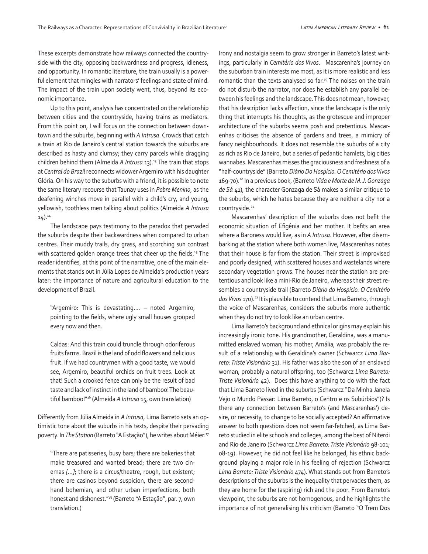These excerpts demonstrate how railways connected the countryside with the city, opposing backwardness and progress, idleness, and opportunity. In romantic literature, the train usually is a powerful element that mingles with narrators' feelings and state of mind. The impact of the train upon society went, thus, beyond its economic importance.

Up to this point, analysis has concentrated on the relationship between cities and the countryside, having trains as mediators. From this point on, I will focus on the connection between downtown and the suburbs, beginning with *A Intrusa*. Crowds that catch a train at Rio de Janeiro's central station towards the suburbs are described as hasty and clumsy; they carry parcels while dragging children behind them (Almeida *A Intrusa* 13).13 The train that stops at *Central do Brazil* reconnects widower Argemiro with his daughter Glória. On his way to the suburbs with a friend, it is possible to note the same literary recourse that Taunay uses in *Pobre Menino*, as the deafening winches move in parallel with a child's cry, and young, yellowish, toothless men talking about politics (Almeida *A Intrusa*  $14$ ). $^{14}$ 

The landscape pays testimony to the paradox that pervaded the suburbs despite their backwardness when compared to urban centres. Their muddy trails, dry grass, and scorching sun contrast with scattered golden orange trees that cheer up the fields.<sup>15</sup> The reader identifies, at this point of the narrative, one of the main elements that stands out in Júlia Lopes de Almeida's production years later: the importance of nature and agricultural education to the development of Brazil.

"Argemiro: This is devastating.... – noted Argemiro, pointing to the fields, where ugly small houses grouped every now and then.

Caldas: And this train could trundle through odoriferous fruits farms. Brazil is the land of odd flowers and delicious fruit. If we had countrymen with a good taste, we would see, Argemiro, beautiful orchids on fruit trees. Look at that! Such a crooked fence can only be the result of bad taste and lack of instinct in the land of bamboo! The beautiful bamboo!"16 (Almeida *A Intrusa* 15, own translation)

Differently from Júlia Almeida in *A Intrusa*, Lima Barreto sets an optimistic tone about the suburbs in his texts, despite their pervading poverty. In *The Station* (Barreto "A Estação"), he writes about Méier: 17

"There are patisseries, busy bars; there are bakeries that make treasured and wanted bread; there are two cinemas *[…]*; there is a circus/theatre, rough, but existent; there are casinos beyond suspicion, there are secondhand bohemian, and other urban imperfections, both honest and dishonest."18 (Barreto "A Estação", par. 7, own translation.)

Irony and nostalgia seem to grow stronger in Barreto's latest writings, particularly in *Cemitério dos Vivos*. Mascarenha's journey on the suburban train interests me most, as it is more realistic and less romantic than the texts analysed so far.<sup>19</sup> The noises on the train do not disturb the narrator, nor does he establish any parallel between his feelings and the landscape. This does not mean, however, that his description lacks affection, since the landscape is the only thing that interrupts his thoughts, as the grotesque and improper architecture of the suburbs seems posh and pretentious. Mascarenhas criticises the absence of gardens and trees, a mimicry of fancy neighbourhoods. It does not resemble the suburbs of a city as rich as Rio de Janeiro, but a series of pedantic hamlets, big cities wannabes. Mascarenhas misses the graciousness and freshness of a "half-countryside" (Barreto *Diário Do Hospício. O Cemitério dos Vivos* 169-70).20 In a previous book, (Barreto *Vida e Morte de M. J. Gonzaga de Sá* 41), the character Gonzaga de Sá makes a similar critique to the suburbs, which he hates because they are neither a city nor a countryside.<sup>21</sup>

Mascarenhas' description of the suburbs does not befit the economic situation of Efigênia and her mother. It befits an area where a Baroness would live, as in *A Intrusa*. However, after disembarking at the station where both women live, Mascarenhas notes that their house is far from the station. Their street is improvised and poorly designed, with scattered houses and wastelands where secondary vegetation grows. The houses near the station are pretentious and look like a mini-Rio de Janeiro, whereas their street resembles a countryside trail (Barreto *Diário do Hospício. O Cemitério dos Vivos* 170).22 It is plausible to contend that Lima Barreto, through the voice of Mascarenhas, considers the suburbs more authentic when they do not try to look like an urban centre.

Lima Barreto's background and ethnical origins may explain his increasingly ironic tone. His grandmother, Geraldina, was a manumitted enslaved woman; his mother, Amália, was probably the result of a relationship with Geraldina's owner (Schwarcz *Lima Barreto: Triste Visionário* 31). His father was also the son of an enslaved woman, probably a natural offspring, too (Schwarcz *Lima Barreto: Triste Visionário* 42). Does this have anything to do with the fact that Lima Barreto lived in the suburbs (Schwarcz "Da Minha Janela Vejo o Mundo Passar: Lima Barreto, o Centro e os Subúrbios")? Is there any connection between Barreto's (and Mascarenhas') desire, or necessity, to change to be socially accepted? An affirmative answer to both questions does not seem far-fetched, as Lima Barreto studied in elite schools and colleges, among the best of Niterói and Rio de Janeiro (Schwarcz *Lima Barreto: Triste Visionário* 98-101; 08-19). However, he did not feel like he belonged, his ethnic background playing a major role in his feeling of rejection (Schwarcz *Lima Barreto: Triste Visionário* 474). What stands out from Barreto's descriptions of the suburbs is the inequality that pervades them, as they are home for the (aspiring) rich and the poor. From Barreto's viewpoint, the suburbs are not homogenous, and he highlights the importance of not generalising his criticism (Barreto "O Trem Dos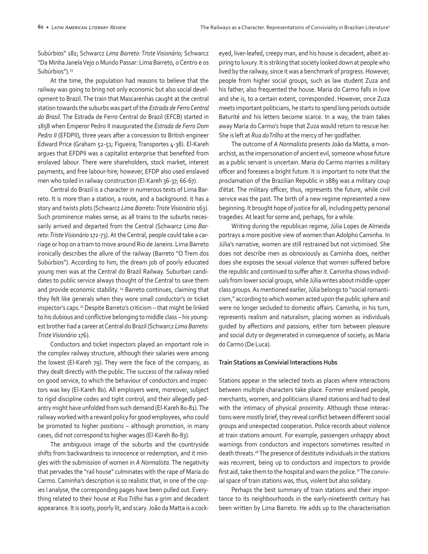Subúrbios" 182; Schwarcz *Lima Barreto: Triste Visionário;* Schwarcz "Da Minha Janela Vejo o Mundo Passar: Lima Barreto, o Centro e os Subúrbios").<sup>23</sup>

At the time, the population had reasons to believe that the railway was going to bring not only economic but also social development to Brazil. The train that Mascarenhas caught at the central station towards the suburbs was part of the *Estrada de Ferro Central do Brasil*. The Estrada de Ferro Central do Brazil (EFCB) started in 1858 when Emperor Pedro II inaugurated the *Estrada de Ferro Dom Pedro II* (EFDPII), three years after a concession to British engineer Edward Price (Graham 52-51; Figueira; Transportes 4-38). El-Kareh argues that EFDPII was a capitalist enterprise that benefited from enslaved labour. There were shareholders, stock market, interest payments, and free labour-hire; however, EFDP also used enslaved men who toiled in railway construction (El-Kareh 36-37; 66-67).

Central do Brazil is a character in numerous texts of Lima Barreto. It is more than a station, a route, and a background: it has a story and twists plots (Schwarcz *Lima Barreto: Triste Visionário* 163). Such prominence makes sense, as all trains to the suburbs necessarily arrived and departed from the Central (Schwarcz *Lima Barreto: Triste Visionário* 172-73). At the Central, people could take a carriage or hop on a tram to move around Rio de Janeiro. Lima Barreto ironically describes the allure of the railway (Barreto "O Trem dos Subúrbios"). According to him, the dream job of poorly educated young men was at the Central do Brazil Railway. Suburban candidates to public service always thought of the Central to save them and provide economic stability.<sup>24</sup> Barreto continues, claiming that they felt like generals when they wore small conductor's or ticket inspector's caps.<sup>25</sup> Despite Barreto's criticism - that might be linked to his dubious and conflictive belonging to middle class – his youngest brother had a career at Central do Brazil (Schwarcz *Lima Barreto: Triste Visionário* 176).

Conductors and ticket inspectors played an important role in the complex railway structure, although their salaries were among the lowest (El-Kareh 79). They were the face of the company, as they dealt directly with the public. The success of the railway relied on good service, to which the behaviour of conductors and inspectors was key (El-Kareh 80). All employers were, moreover, subject to rigid discipline codes and tight control, and their allegedly pedantry might have unfolded from such demand (El-Kareh 80-81). The railway worked with a reward policy for good employees, who could be promoted to higher positions – although promotion, in many cases, did not correspond to higher wages (El-Kareh 80-83).

The ambiguous image of the suburbs and the countryside shifts from backwardness to innocence or redemption, and it mingles with the submission of women in *A Normalista*. The negativity that pervades the "rail house" culminates with the rape of Maria do Carmo. Caminha's description is so realistic that, in one of the copies I analyse, the corresponding pages have been pulled out. Everything related to their house at *Rua Trilho* has a grim and decadent appearance. It is sooty, poorly lit, and scary. João da Matta is a cockeyed, liver-leafed, creepy man, and his house is decadent, albeit aspiring to luxury. It is striking that society looked down at people who lived by the railway, since it was a benchmark of progress. However, people from higher social groups, such as law student Zuza and his father, also frequented the house. Maria do Carmo falls in love and she is, to a certain extent, corresponded. However, once Zuza meets important politicians, he starts to spend long periods outside Baturité and his letters become scarce. In a way, the train takes away Maria do Carmo's hope that Zuza would return to rescue her. She is left at *Rua do Trilho* at the mercy of her godfather.

The outcome of *A Normalista* presents João da Matta, a monarchist, as the impersonation of ancient evil, someone whose future as a public servant is uncertain. Maria do Carmo marries a military officer and foresees a bright future. It is important to note that the proclamation of the Brazilian Republic in 1889 was a military coup d'état. The military officer, thus, represents the future, while civil service was the past. The birth of a new regime represented a new beginning. It brought hope of justice for all, including petty personal tragedies. At least for some and, perhaps, for a while.

Writing during the republican regime, Júlia Lopes de Almeida portrays a more positive view of women than Adolpho Caminha. In Júlia's narrative, women are still restrained but not victimised. She does not describe men as obnoxiously as Caminha does, neither does she exposes the sexual violence that women suffered before the republic and continued to suffer after it. Caminha shows individuals from lower social groups, while Júlia writes about middle-upper class groups. As mentioned earlier, Júlia belongs to "social romanticism," according to which women acted upon the public sphere and were no longer secluded to domestic affairs. Caminha, in his turn, represents realism and naturalism, placing women as individuals guided by affections and passions, either torn between pleasure and social duty or degenerated in consequence of society, as Maria do Carmo (De Luca).

### **Train Stations as Convivial Interactions Hubs**

Stations appear in the selected texts as places where interactions between multiple characters take place. Former enslaved people, merchants, women, and politicians shared stations and had to deal with the intimacy of physical proximity. Although those interactions were mostly brief, they reveal conflict between different social groups and unexpected cooperation. Police records about violence at train stations amount. For example, passengers unhappy about warnings from conductors and inspectors sometimes resulted in death threats.26 The presence of destitute individuals in the stations was recurrent, being up to conductors and inspectors to provide first aid, take them to the hospital and warn the police.<sup>27</sup> The convivial space of train stations was, thus, violent but also solidary.

Perhaps the best summary of train stations and their importance to its neighbourhoods in the early-nineteenth century has been written by Lima Barreto. He adds up to the characterisation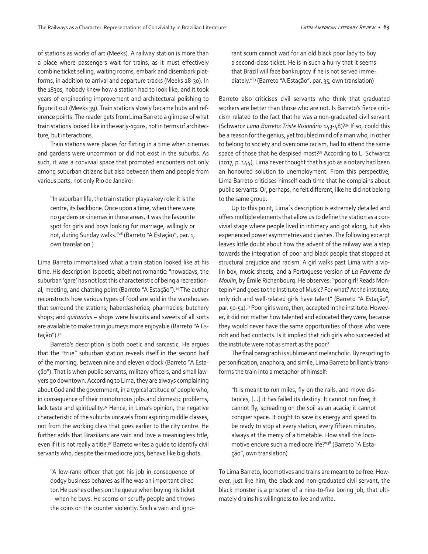of stations as works of art (Meeks). A railway station is more than a place where passengers wait for trains, as it must effectively combine ticket selling, waiting rooms, embark and disembark platforms, in addition to arrival and departure tracks (Meeks 28-30). In the 1830s, nobody knew how a station had to look like, and it took years of engineering improvement and architectural polishing to figure it out (Meeks 39). Train stations slowly became hubs and reference points. The reader gets from Lima Barreto a glimpse of what train stations looked like in the early-1920s, not in terms of architecture, but interactions.

Train stations were places for flirting in a time when cinemas and gardens were uncommon or did not exist in the suburbs. As such, it was a convivial space that promoted encounters not only among suburban citizens but also between them and people from various parts, not only Rio de Janeiro:

"In suburban life, the train station plays a key role: it is the centre, its backbone. Once upon a time, when there were no gardens or cinemas in those areas, it was the favourite spot for girls and boys looking for marriage, willingly or not, during Sunday walks."28 (Barreto "A Estação", par. 1, own translation.)

Lima Barreto immortalised what a train station looked like at his time. His description is poetic, albeit not romantic: "nowadays, the suburban 'gare' has not lost this characteristic of being a recreational, meeting, and chatting point (Barreto "A Estação").<sup>29</sup> The author reconstructs how various types of food are sold in the warehouses that surround the stations; haberdasheries; pharmacies; butchery shops; and *quitandas* – shops were biscuits and sweets of all sorts are available to make train journeys more enjoyable (Barreto "A Estação").<sup>30</sup>

Barreto's description is both poetic and sarcastic. He argues that the "true" suburban station reveals itself in the second half of the morning, between nine and eleven o'clock (Barreto "A Estação"). That is when public servants, military officers, and small lawyers go downtown. According to Lima, they are always complaining about God and the government, in a typical attitude of people who, in consequence of their monotonous jobs and domestic problems, lack taste and spirituality.<sup>31</sup> Hence, in Lima's opinion, the negative characteristic of the suburbs unravels from aspiring middle classes, not from the working class that goes earlier to the city centre. He further adds that Brazilians are vain and love a meaningless title, even if it is not really a title.<sup>32</sup> Barreto writes a quide to identify civil servants who, despite their mediocre jobs, behave like big shots.

"A low-rank officer that got his job in consequence of dodgy business behaves as if he was an important director. He pushes others on the queue when buying his ticket – when he buys. He scorns on scruffy people and throws the coins on the counter violently. Such a vain and ignorant scum cannot wait for an old black poor lady to buy a second-class ticket. He is in such a hurry that it seems that Brazil will face bankruptcy if he is not served immediately."33 (Barreto "A Estação", par. 35, own translation)

Barreto also criticises civil servants who think that graduated workers are better than those who are not. Is Barreto's fierce criticism related to the fact that he was a non-graduated civil servant (Schwarcz *Lima Barreto: Triste Visionário* 143-48)?34 If so, could this be a reason for the genius, yet troubled mind of a man who, in other to belong to society and overcome racism, had to attend the same space of those that he despised most?<sup>35</sup> According to L. Schwarcz (2017, p. 144), Lima never thought that his job as a notary had been an honoured solution to unemployment. From this perspective, Lima Barreto criticises himself each time that he complains about public servants. Or, perhaps, he felt different, like he did not belong to the same group.

Up to this point, Lima´s description is extremely detailed and offers multiple elements that allow us to define the station as a convivial stage where people lived in intimacy and got along, but also experienced power asymmetries and clashes. The following excerpt leaves little doubt about how the advent of the railway was a step towards the integration of poor and black people that stopped at structural prejudice and racism. A girl walks past Lima with a violin box, music sheets, and a Portuguese version of *La Fauvette du Moulin*, by Émile Richenbourg. He observes: "poor girl! Reads Montepin36 and goes to the Institute of Music? For what? At the institute, only rich and well-related girls have talent" (Barreto "A Estação", par. 50-51).<sup>37</sup> Poor girls were, then, accepted in the institute. However, it did not matter how talented and educated they were, because they would never have the same opportunities of those who were rich and had contacts. Is it implied that rich girls who succeeded at the institute were not as smart as the poor?

The final paragraph is sublime and melancholic. By resorting to personification, anaphora, and simile, Lima Barreto brilliantly transforms the train into a metaphor of himself:

"It is meant to run miles, fly on the rails, and move distances, […] it has failed its destiny. It cannot run free; it cannot fly, spreading on the soil as an acacia; it cannot conquer space. It ought to save its energy and speed to be ready to stop at every station, every fifteen minutes, always at the mercy of a timetable. How shall this locomotive endure such a mediocre life?"38 (Barreto "A Estação", own translation)

To Lima Barreto, locomotives and trains are meant to be free. However, just like him, the black and non-graduated civil servant, the black monster is a prisoner of a nine-to-five boring job, that ultimately drains his willingness to live and write.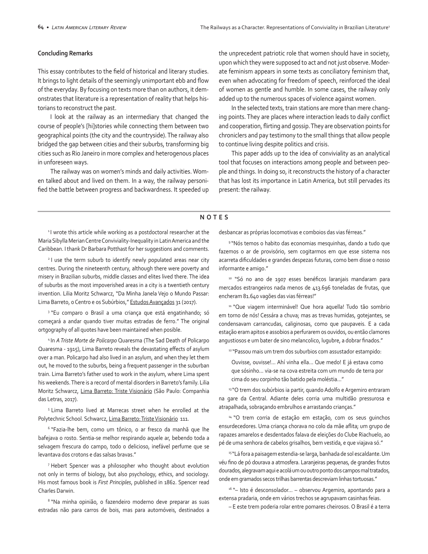#### **Concluding Remarks**

This essay contributes to the field of historical and literary studies. It brings to light details of the seemingly unimportant ebb and flow of the everyday. By focusing on texts more than on authors, it demonstrates that literature is a representation of reality that helps historians to reconstruct the past.

I look at the railway as an intermediary that changed the course of people's [hi]stories while connecting them between two geographical points (the city and the countryside). The railway also bridged the gap between cities and their suburbs, transforming big cities such as Rio Janeiro in more complex and heterogenous places in unforeseen ways.

The railway was on women's minds and daily activities. Women talked about and lived on them. In a way, the railway personified the battle between progress and backwardness. It speeded up the unprecedent patriotic role that women should have in society, upon which they were supposed to act and not just observe. Moderate feminism appears in some texts as conciliatory feminism that, even when advocating for freedom of speech, reinforced the ideal of women as gentle and humble. In some cases, the railway only added up to the numerous spaces of violence against women.

In the selected texts, train stations are more than mere changing points. They are places where interaction leads to daily conflict and cooperation, flirting and gossip. They are observation points for chroniclers and pay testimony to the small things that allow people to continue living despite politics and crisis.

This paper adds up to the idea of conviviality as an analytical tool that focuses on interactions among people and between people and things. In doing so, it reconstructs the history of a character that has lost its importance in Latin America, but still pervades its present: the railway.

### **NOTES**

<sup>1</sup> I wrote this article while working as a postdoctoral researcher at the Maria Sibylla Merian Centre Conviviality-Inequality in Latin America and the Caribbean. I thank Dr Barbara Potthast for her suggestions and comments.

<sup>2</sup> I use the term suburb to identify newly populated areas near city centres. During the nineteenth century, although there were poverty and misery in Brazilian suburbs, middle classes and elites lived there. The idea of suburbs as the most impoverished areas in a city is a twentieth century invention. Lilia Moritz Schwarcz, "Da Minha Janela Vejo o Mundo Passar: Lima Barreto, o Centro e os Subúrbios," Estudos Avançados 31 (2017).

<sup>3</sup> "Eu comparo o Brasil a uma criança que está engatinhando; só começará a andar quando tiver muitas estradas de ferro." The original ortgography of all quotes have been maintained when posible.

4 In *A Triste Morte de Policarpo* Quaresma (The Sad Death of Policarpo Quaresma - 1915), Lima Barreto reveals the devastating effects of asylum over a man. Policarpo had also lived in an asylum, and when they let them out, he moved to the suburbs, being a frequent passenger in the suburban train. Lima Barreto's father used to work in the asylum, where Lima spent his weekends. There is a record of mental disorders in Barreto's family. Lilia Moritz Schwarcz, Lima Barreto: Triste Visionário (São Paulo: Companhia das Letras, 2017).

5 Lima Barreto lived at Marrecas street when he enrolled at the Polytechnic School. Schwarcz, Lima Barreto: Triste Visionário 111.

6 "Fazia-lhe bem, como um tônico, o ar fresco da manhã que lhe bafejava o rosto. Sentia-se melhor respirando aquele ar, bebendo toda a selvagem frescura do campo, todo o delicioso, inefável perfume que se levantava dos crotons e das salsas bravas."

7 Hebert Spencer was a philosopher who thought about evolution not only in terms of biology, but also psychology, ethics, and sociology. His most famous book is *First Principles*, published in 1862. Spencer read Charles Darwin.

<sup>8</sup>"Na minha opinião, o fazendeiro moderno deve preparar as suas estradas não para carros de bois, mas para automóveis, destinados a desbancar as próprias locomotivas e comboios das vias férreas."

9 "Nós temos o habito das economias mesquinhas, dando a tudo que fazemos o ar de provisório, sem cogitarmos em que esse sistema nos acarreta dificuldades e grandes despezas futuras, como bem disse o nosso informante e amigo."

<sup>10</sup> "Só no ano de 1907 esses benéficos laranjais mandaram para mercados estrangeiros nada menos de 413.696 toneladas de frutas, que encheram 81.640 vagões das vias férreas!"

<sup>11</sup> "Que viagem interminável! Que hora aquella! Tudo tão sombrio em torno de nós! Cessára a chuva; mas as trevas humidas, gotejantes, se condensavam carrancudas, caliginosas, como que paupaveis. E a cada estação eram apitos e assobios a perfurarem os ouvidos, ou então clamores angustiosos e um bater de sino melancolico, lugubre, a dobrar finados."

12 "Passou mais um trem dos suburbios com assustador estampido:

Ouvisse, ouvisse!... Ahí vinha ella… Que medo! E já estava como que sósinho… via-se na cova estreita com um mundo de terra por cima do seu corpinho tão batido pela moléstia…"

<sup>13</sup> "O trem dos subúrbios ia partir, quando Adolfo e Argemiro entraram na gare da Central. Adiante deles corria uma multidão pressurosa e atrapalhada, sobraçando embrulhos e arrastando crianças."

<sup>14</sup> "O trem corria de estação em estação, com os seus quinchos ensurdecedores. Uma criança chorava no colo da mãe aflita; um grupo de rapazes amarelos e desdentados falava de eleições do Clube Riachuelo, ao pé de uma senhora de cabelos grisalhos, bem vestida, e que viajava só."

<sup>15 "</sup>Lá fora a paisagem estendia-se larga, banhada de sol escaldante. Um véu fino de pó dourava a atmosfera. Laranjeiras pequenas, de grandes frutos dourados, alegravam aqui e acolá um ou outro ponto dos campos mal tratados, onde em gramados secos trilhas barrentas descreviam linhas tortuosas."

 $16$  "– Isto é desconsolador... – observou Argemiro, apontando para a extensa pradaria, onde em vários trechos se agrupavam casinhas feias.

– E este trem poderia rolar entre pomares cheirosos. O Brasil é a terra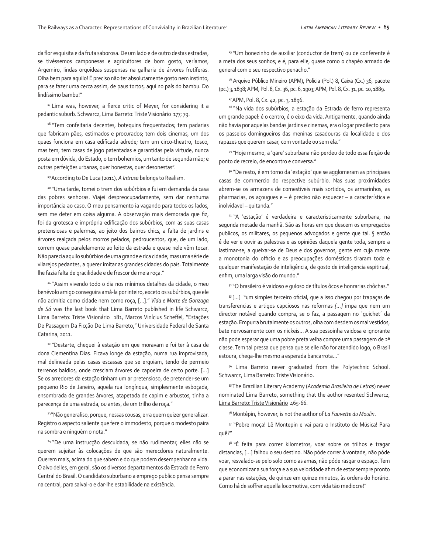da flor esquisita e da fruta saborosa. De um lado e de outro destas estradas, se tivéssemos camponesas e agricultores de bom gosto, veríamos, Argemiro, lindas orquídeas suspensas na galharia de árvores frutíferas. Olha bem para aquilo! É preciso não ter absolutamente gosto nem instinto, para se fazer uma cerca assim, de paus tortos, aqui no país do bambu. Do lindíssimo bambu!"

<sup>17</sup> Lima was, however, a fierce critic of Meyer, for considering it a pedantic suburb. Schwarcz, Lima Barreto: Triste Visionário 177; 79.

<sup>18</sup> "Tem confeitaria decentes, botequins frequentados; tem padarias que fabricam pães, estimados e procurados; tem dois cinemas, um dos quaes funciona em casa edificada adrede; tem um circo-theatro, tosco, mas tem; tem casas de jogo patentadas e garantidas pela virtude, nunca posta em dúvida, do Estado, o tem bohemios, um tanto de segunda mão; e outras perfeições urbanas, quer honestas, quer desonestas".

19 According to De Luca (2011), *A Intrusa* belongs to Realism.

<sup>20</sup> "Uma tarde, tomei o trem dos subúrbios e fui em demanda da casa das pobres senhoras. Viajei despreocupadamente, sem dar nenhuma importância ao caso. O meu pensamento ia vagando para todos os lados, sem me deter em coisa alguma. A observação mais demorada que fiz, foi da grotesca e imprópria edificação dos subúrbios, com as suas casas pretensiosas e palermas, ao jeito dos bairros chics, a falta de jardins e árvores realçada pelos morros pelados, pedroucentos, que, de um lado, correm quase paralelamente ao leito da estrada e quase nele vêm tocar. Não parecia aquilo subúrbios de uma grande e rica cidade; mas uma série de vilarejos pedantes, a querer imitar as grandes cidades do país. Totalmente lhe fazia falta de gracilidade e de frescor de meia roça."

<sup>21</sup> "Assim vivendo todo o dia nos mínimos detalhes da cidade, o meu benévolo amigo conseguira amá-la por inteiro, exceto os subúrbios, que ele não admitia como cidade nem como roça, [...]." *Vida e Morte de Gonzaga de Sá* was the last book that Lima Barreto published in life Schwarcz, Lima Barreto: Triste Visionário 181, Marcos Vinícius Scheffel, "Estações De Passagem Da Ficção De Lima Barreto," Universidade Federal de Santa Catarina, 2011.

<sup>22</sup>"Destarte, cheguei à estação em que moravam e fui ter à casa de dona Clementina Dias. Ficava longe da estação, numa rua improvisada, mal delineada pelas casas escassas que se erguiam, tendo de permeio terrenos baldios, onde cresciam árvores de capoeira de certo porte. [...] Se os arredores da estação tinham um ar pretensioso, de pretender-se um pequeno Rio de Janeiro, aquela rua longínqua, simplesmente esboçada, ensombrada de grandes árvores, atapetada de capim e arbustos, tinha a parecença de uma estrada, ou antes, de um trilho de roça."

<sup>23</sup>"Não generaliso, porque, nessas cousas, erra quem quizer generalizar. Registro o aspecto saliente que fere o immodesto; porque o modesto paira na sombra e ninguém o nota."

<sup>24</sup> "De uma instrucção descuidada, se não rudimentar, elles não se querem sujeitar às colocações de que são merecdores naturalmente. Querem mais, acima do que sabem e do que podem desempenhar na vida. O alvo delles, em geral, são os diversos departamentos da Estrada de Ferro Central do Brasil. O candidato suburbano a emprego publico pensa sempre na central, para salval-o e dar-lhe estabilidade na existência.

<sup>25</sup> "Um bonezinho de auxiliar (conductor de trem) ou de conferente é a meta dos seus sonhos; e é, para elle, quase como o chapéo armado de general com o seu respectivo penacho."

<sup>26</sup> Arquivo Público Mineiro (APM), Polícia (Pol.) 8, Caixa (Cx.) 36, pacote (pc.) 3, 1898; APM, Pol. 8, Cx. 36, pc. 6, 1903; APM, Pol. 8, Cx. 31, pc. 10, 1889.

#### 27 APM, Pol. 8, Cx. 42, pc. 3, 1896.

<sup>28</sup>"Na vida dos subúrbios, a estação da Estrada de ferro representa um grande papel: é o centro, é o eixo da vida. Antigamente, quando ainda não havia por aquelas bandas jardins e cinemas, era o logar predilecto para os passeios domingueiros das meninas casadouras da localidade e dos rapazes que querem casar, com vontade ou sem ela."

<sup>29</sup>"Hoje mesmo, a 'qare' suburbana não perdeu de todo essa feição de ponto de recreio, de encontro e conversa."

<sup>30</sup> "De resto, é em torno da 'estação' que se agglomeram as principaes casas de commercio do respective subúrbio. Nas suas proximidades abrem-se os armazens de comestíveis mais sortidos, os armarinhos, as pharmacias, os açougues e – é preciso não esquecer – a característica e inolvidavel – quitanda."

<sup>31</sup> "A 'estação' é verdadeira e caracteristicamente suburbana, na segunda metade da manhã. São as horas em que descem os empregados publicos, os militares, os pequenos advogados e gente que tal. § então é de ver e ouvir as palestras e as opiniões daquela gente toda, sempre a lastimar-se; a queixar-se de Deus e dos governos, gente em cuja mente a monotonia do officio e as preocupações domésticas tiraram toda e qualquer manifestação de inteligência, de gosto de inteligencia espitirual, enfim, uma larga visão do mundo."

<sup>32</sup> "O brasileiro é vaidoso e quloso de títulos ôcos e honrarias chôchas."

<sup>33</sup>[…] "um simples terceiro oficial, que a isso chegou por trapaças de transferencias e artigos capciosos nas reformas *[…]* impa que nem um director notável quando compra, se o faz, a passagem no ´guichet´ da estação. Empurra brutalmente os outros, olha com desdem os mal vestidos, bate nervosamente com os nickeis… A sua pessoinha vaidosa e ignorante não pode esperar que uma pobre preta velha compre uma passagem de 2ª classe. Tem tal pressa que pensa que se elle não for atendido logo, o Brasil estoura, chega-lhe mesmo a esperada bancarrota…"

<sup>34</sup> Lima Barreto never graduated from the Polytechnic School. Schwarcz, Lima Barreto: Triste Visionário.

35 The Brazilian Literary Academy (*Academia Brasileira de Letras*) never nominated Lima Barreto, something that the author resented Schwarcz, Lima Barreto: Triste Visionário 465-66.

36 Montépin, however, is not the author of *La Fauvette du Moulin*.

<sup>37</sup> "Pobre moça! Lê Montepin e vai para o Instituto de Música! Para quê?"

<sup>38</sup> "É feita para correr kilometros, voar sobre os trilhos e tragar distancias, […] falhou o seu destino. Não póde correr à vontade, não póde voar, resvalado-se pelo solo como as amas, não póde rasgar o espaço. Tem que economizar a sua força e a sua velocidade afim de estar sempre pronto a parar nas estações, de quinze em quinze minutos, às ordens do horário. Como há de soffrer aquella locomotiva, com vida tão mediocre!"